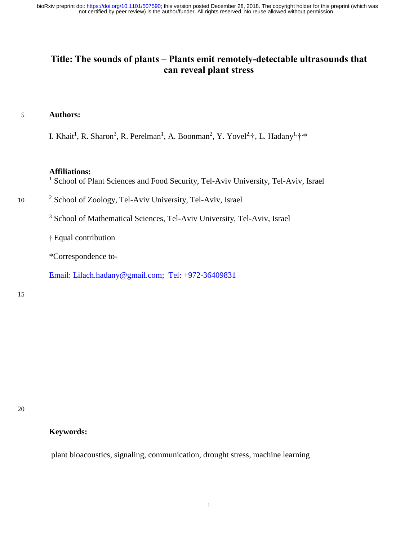not certified by peer review) is the author/funder. All rights reserved. No reuse allowed without permission. bioRxiv preprint doi: [https://doi.org/10.1101/507590;](https://doi.org/10.1101/507590) this version posted December 28, 2018. The copyright holder for this preprint (which was

### **Title: The sounds of plants – Plants emit remotely-detectable ultrasounds that can reveal plant stress**

#### 5 **Authors:**

I. Khait<sup>1</sup>, R. Sharon<sup>3</sup>, R. Perelman<sup>1</sup>, A. Boonman<sup>2</sup>, Y. Yovel<sup>2,</sup>†, L. Hadany<sup>1,</sup>†<sup>\*</sup>,\*

#### **Affiliations:**

<sup>1</sup> School of Plant Sciences and Food Security, Tel-Aviv University, Tel-Aviv, Israel

10 <sup>2</sup> School of Zoology, Tel-Aviv University, Tel-Aviv, Israel

<sup>3</sup> School of Mathematical Sciences, Tel-Aviv University, Tel-Aviv, Israel

† Equal contribution

\*Correspondence to-

Email: [Lilach.hadany@gmail.com;](mailto:Lilach.hadany@gmail.com) Tel: +972-36409831

#### 15

20

#### **Keywords:**

plant bioacoustics, signaling, communication, drought stress, machine learning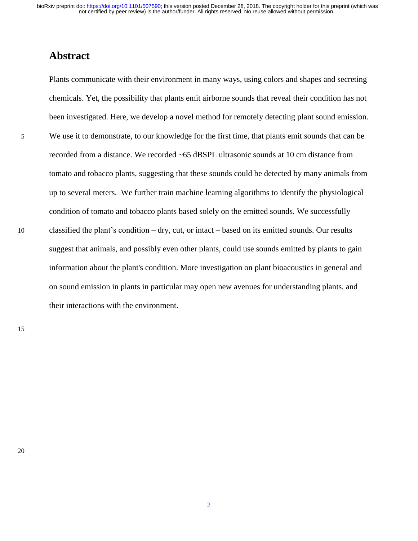### **Abstract**

Plants communicate with their environment in many ways, using colors and shapes and secreting chemicals. Yet, the possibility that plants emit airborne sounds that reveal their condition has not been investigated. Here, we develop a novel method for remotely detecting plant sound emission. 5 We use it to demonstrate, to our knowledge for the first time, that plants emit sounds that can be recorded from a distance. We recorded ~65 dBSPL ultrasonic sounds at 10 cm distance from tomato and tobacco plants, suggesting that these sounds could be detected by many animals from up to several meters. We further train machine learning algorithms to identify the physiological condition of tomato and tobacco plants based solely on the emitted sounds. We successfully 10 classified the plant's condition – dry, cut, or intact – based on its emitted sounds. Our results suggest that animals, and possibly even other plants, could use sounds emitted by plants to gain information about the plant's condition. More investigation on plant bioacoustics in general and on sound emission in plants in particular may open new avenues for understanding plants, and their interactions with the environment.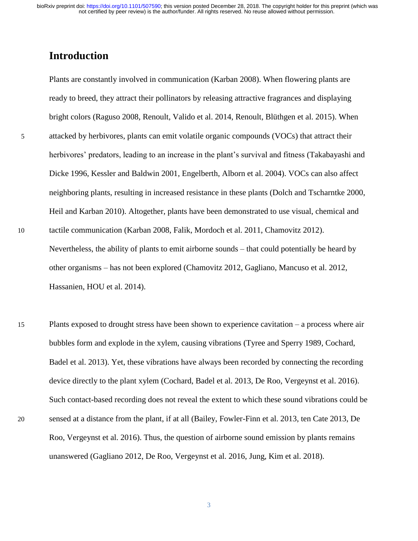## **Introduction**

Plants are constantly involved in communication [\(Karban 2008\)](#page-18-0). When flowering plants are ready to breed, they attract their pollinators by releasing attractive fragrances and displaying bright colors [\(Raguso 2008,](#page-18-1) [Renoult, Valido et al. 2014,](#page-18-2) [Renoult, Blüthgen et al. 2015\)](#page-18-3). When 5 attacked by herbivores, plants can emit volatile organic compounds (VOCs) that attract their herbivores' predators, leading to an increase in the plant's survival and fitness [\(Takabayashi and](#page-19-0)  [Dicke 1996,](#page-19-0) [Kessler and Baldwin 2001,](#page-18-4) [Engelberth, Alborn et al. 2004\)](#page-17-0). VOCs can also affect neighboring plants, resulting in increased resistance in these plants [\(Dolch and Tscharntke 2000,](#page-17-1) [Heil and Karban 2010\)](#page-18-5). Altogether, plants have been demonstrated to use visual, chemical and 10 tactile communication [\(Karban 2008,](#page-18-0) [Falik, Mordoch et al. 2011,](#page-17-2) [Chamovitz 2012\)](#page-17-3). Nevertheless, the ability of plants to emit airborne sounds – that could potentially be heard by other organisms – has not been explored [\(Chamovitz 2012,](#page-17-3) [Gagliano, Mancuso et al. 2012,](#page-17-4) [Hassanien, HOU et al. 2014\)](#page-17-5).

15 Plants exposed to drought stress have been shown to experience cavitation – a process where air bubbles form and explode in the xylem, causing vibrations [\(Tyree and Sperry 1989,](#page-19-1) [Cochard,](#page-17-6)  [Badel et al. 2013\)](#page-17-6). Yet, these vibrations have always been recorded by connecting the recording device directly to the plant xylem [\(Cochard, Badel et al. 2013,](#page-17-6) [De Roo, Vergeynst et al. 2016\)](#page-17-7). Such contact-based recording does not reveal the extent to which these sound vibrations could be 20 sensed at a distance from the plant, if at all [\(Bailey, Fowler-Finn et al. 2013,](#page-17-8) [ten Cate 2013,](#page-19-2) [De](#page-17-7)  [Roo, Vergeynst et al. 2016\)](#page-17-7). Thus, the question of airborne sound emission by plants remains unanswered [\(Gagliano 2012,](#page-17-9) [De Roo, Vergeynst et al. 2016,](#page-17-7) [Jung, Kim et al. 2018\)](#page-18-6).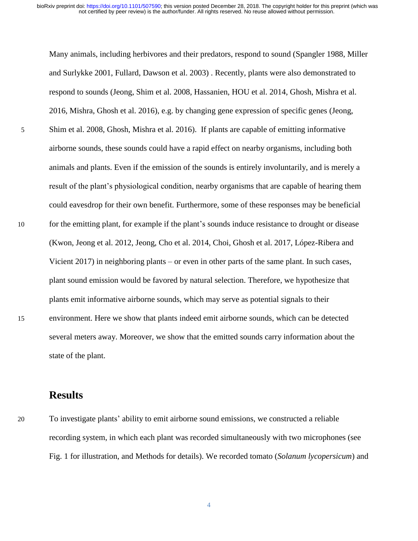Many animals, including herbivores and their predators, respond to sound [\(Spangler 1988,](#page-19-3) [Miller](#page-18-7)  [and Surlykke 2001,](#page-18-7) [Fullard, Dawson et al. 2003\)](#page-17-10) . Recently, plants were also demonstrated to respond to sounds [\(Jeong, Shim et al. 2008,](#page-18-8) [Hassanien, HOU et al. 2014,](#page-17-5) [Ghosh, Mishra et al.](#page-17-11)  [2016,](#page-17-11) [Mishra, Ghosh et al. 2016\)](#page-18-9), e.g. by changing gene expression of specific genes [\(Jeong,](#page-18-8)  5 [Shim et al. 2008,](#page-18-8) [Ghosh, Mishra et al. 2016\)](#page-17-11). If plants are capable of emitting informative airborne sounds, these sounds could have a rapid effect on nearby organisms, including both animals and plants. Even if the emission of the sounds is entirely involuntarily, and is merely a result of the plant's physiological condition, nearby organisms that are capable of hearing them could eavesdrop for their own benefit. Furthermore, some of these responses may be beneficial 10 for the emitting plant, for example if the plant's sounds induce resistance to drought or disease [\(Kwon, Jeong et al. 2012,](#page-18-10) [Jeong, Cho et al. 2014,](#page-18-11) [Choi, Ghosh et al. 2017,](#page-17-12) [López-Ribera and](#page-18-12)  [Vicient 2017\)](#page-18-12) in neighboring plants – or even in other parts of the same plant. In such cases, plant sound emission would be favored by natural selection. Therefore, we hypothesize that plants emit informative airborne sounds, which may serve as potential signals to their 15 environment. Here we show that plants indeed emit airborne sounds, which can be detected several meters away. Moreover, we show that the emitted sounds carry information about the state of the plant.

### **Results**

20 To investigate plants' ability to emit airborne sound emissions, we constructed a reliable recording system, in which each plant was recorded simultaneously with two microphones (see Fig. 1 for illustration, and Methods for details). We recorded tomato (*Solanum lycopersicum*) and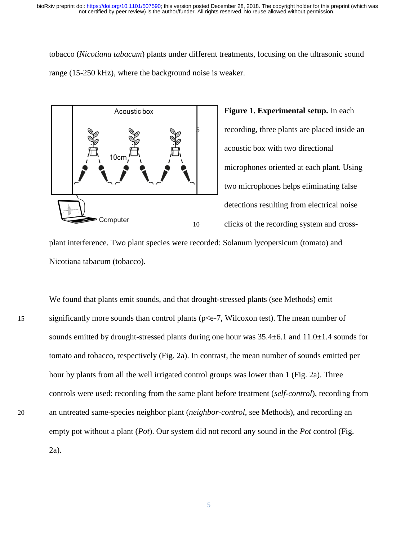tobacco (*Nicotiana tabacum*) plants under different treatments, focusing on the ultrasonic sound range (15-250 kHz), where the background noise is weaker.



**Figure 1. Experimental setup.** In each 5 recording, three plants are placed inside an acoustic box with two directional microphones oriented at each plant. Using two microphones helps eliminating false detections resulting from electrical noise 10 clicks of the recording system and cross-

plant interference. Two plant species were recorded: Solanum lycopersicum (tomato) and Nicotiana tabacum (tobacco).

We found that plants emit sounds, and that drought-stressed plants (see Methods) emit 15 significantly more sounds than control plants (p<e-7, Wilcoxon test). The mean number of sounds emitted by drought-stressed plants during one hour was  $35.4\pm6.1$  and  $11.0\pm1.4$  sounds for tomato and tobacco, respectively (Fig. 2a). In contrast, the mean number of sounds emitted per hour by plants from all the well irrigated control groups was lower than 1 (Fig. 2a). Three controls were used: recording from the same plant before treatment (*self-control*), recording from 20 an untreated same-species neighbor plant (*neighbor-control*, see Methods), and recording an empty pot without a plant (*Pot*). Our system did not record any sound in the *Pot* control (Fig. 2a).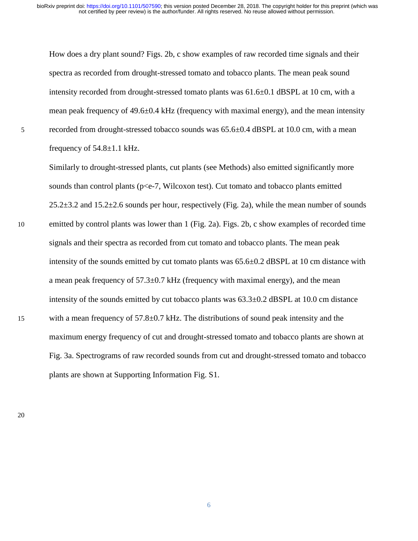How does a dry plant sound? Figs. 2b, c show examples of raw recorded time signals and their spectra as recorded from drought-stressed tomato and tobacco plants. The mean peak sound intensity recorded from drought-stressed tomato plants was 61.6±0.1 dBSPL at 10 cm, with a mean peak frequency of 49.6±0.4 kHz (frequency with maximal energy), and the mean intensity  $5$  recorded from drought-stressed tobacco sounds was  $65.6\pm0.4$  dBSPL at 10.0 cm, with a mean frequency of  $54.8 \pm 1.1$  kHz.

Similarly to drought-stressed plants, cut plants (see Methods) also emitted significantly more sounds than control plants ( $p\leq -7$ , Wilcoxon test). Cut tomato and tobacco plants emitted  $25.2\pm3.2$  and  $15.2\pm2.6$  sounds per hour, respectively (Fig. 2a), while the mean number of sounds 10 emitted by control plants was lower than 1 (Fig. 2a). Figs. 2b, c show examples of recorded time signals and their spectra as recorded from cut tomato and tobacco plants. The mean peak intensity of the sounds emitted by cut tomato plants was  $65.6\pm0.2$  dBSPL at 10 cm distance with a mean peak frequency of  $57.3 \pm 0.7$  kHz (frequency with maximal energy), and the mean intensity of the sounds emitted by cut tobacco plants was  $63.3\pm0.2$  dBSPL at 10.0 cm distance 15 with a mean frequency of 57.8±0.7 kHz. The distributions of sound peak intensity and the maximum energy frequency of cut and drought-stressed tomato and tobacco plants are shown at Fig. 3a. Spectrograms of raw recorded sounds from cut and drought-stressed tomato and tobacco plants are shown at Supporting Information Fig. S1.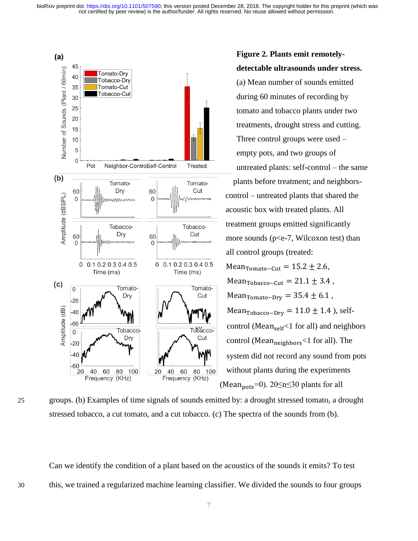

**Figure 2. Plants emit remotelydetectable ultrasounds under stress.**  (a) Mean number of sounds emitted during 60 minutes of recording by tomato and tobacco plants under two treatments, drought stress and cutting. Three control groups were used – empty pots, and two groups of untreated plants: self-control – the same Tomato-<br>
plants before treatment; and neighborscontrol – untreated plants that shared the acoustic box with treated plants. All treatment groups emitted significantly more sounds (p<e-7, Wilcoxon test) than all control groups (treated: Mean $_{Tomato-Cut}$  = 15.2 ± 2.6, Mean<sub>Tobacco</sub>–<sub>Cut</sub> = 21.1  $\pm$  3.4, Mean $_{Tomato-Dry}$  = 35.4  $\pm$  6.1, Mean<sub>Tobacco</sub>–<sub>Dry</sub> = 11.0  $\pm$  1.4 ), self- $\frac{1}{100}$  control (Mean<sub>self</sub> <1 for all) and neighbors control (Mean $_{neighbors}$  <1 for all). The system did not record any sound from pots without plants during the experiments (Mean<sub>pots</sub>=0). 20 $\leq n \leq 30$  plants for all

25 groups. (b) Examples of time signals of sounds emitted by: a drought stressed tomato, a drought stressed tobacco, a cut tomato, and a cut tobacco. (c) The spectra of the sounds from (b).

Can we identify the condition of a plant based on the acoustics of the sounds it emits? To test 30 this, we trained a regularized machine learning classifier. We divided the sounds to four groups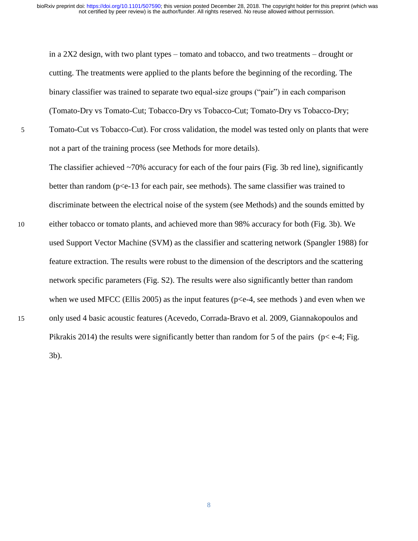in a 2X2 design, with two plant types – tomato and tobacco, and two treatments – drought or cutting. The treatments were applied to the plants before the beginning of the recording. The binary classifier was trained to separate two equal-size groups ("pair") in each comparison (Tomato-Dry vs Tomato-Cut; Tobacco-Dry vs Tobacco-Cut; Tomato-Dry vs Tobacco-Dry;

5 Tomato-Cut vs Tobacco-Cut). For cross validation, the model was tested only on plants that were not a part of the training process (see Methods for more details).

The classifier achieved  $\sim$ 70% accuracy for each of the four pairs (Fig. 3b red line), significantly better than random (p<e-13 for each pair, see methods). The same classifier was trained to discriminate between the electrical noise of the system (see Methods) and the sounds emitted by

10 either tobacco or tomato plants, and achieved more than 98% accuracy for both (Fig. 3b). We used Support Vector Machine (SVM) as the classifier and scattering network [\(Spangler 1988\)](#page-19-3) for feature extraction. The results were robust to the dimension of the descriptors and the scattering network specific parameters (Fig. S2). The results were also significantly better than random when we used MFCC [\(Ellis 2005\)](#page-17-13) as the input features ( $p \le e$ -4, see methods) and even when we 15 only used 4 basic acoustic features [\(Acevedo, Corrada-Bravo et al. 2009,](#page-17-14) [Giannakopoulos and](#page-17-15)  [Pikrakis 2014\)](#page-17-15) the results were significantly better than random for 5 of the pairs ( $p < e$ -4; Fig. 3b).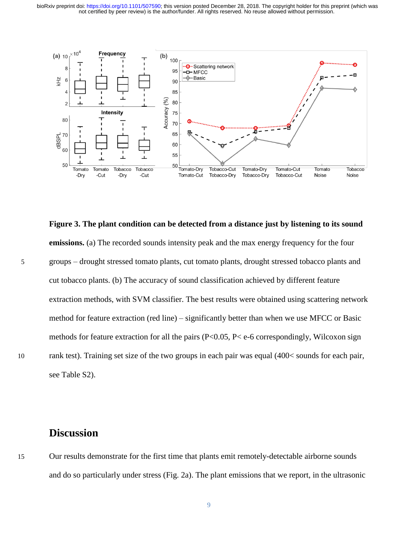not certified by peer review) is the author/funder. All rights reserved. No reuse allowed without permission. bioRxiv preprint doi: [https://doi.org/10.1101/507590;](https://doi.org/10.1101/507590) this version posted December 28, 2018. The copyright holder for this preprint (which was



**Figure 3. The plant condition can be detected from a distance just by listening to its sound emissions.** (a) The recorded sounds intensity peak and the max energy frequency for the four 5 groups – drought stressed tomato plants, cut tomato plants, drought stressed tobacco plants and cut tobacco plants. (b) The accuracy of sound classification achieved by different feature extraction methods, with SVM classifier. The best results were obtained using scattering network method for feature extraction (red line) – significantly better than when we use MFCC or Basic methods for feature extraction for all the pairs ( $P<0.05$ ,  $P<\ e-6$  correspondingly, Wilcoxon sign 10 rank test). Training set size of the two groups in each pair was equal (400 < sounds for each pair, see Table S2).

### **Discussion**

15 Our results demonstrate for the first time that plants emit remotely-detectable airborne sounds and do so particularly under stress (Fig. 2a). The plant emissions that we report, in the ultrasonic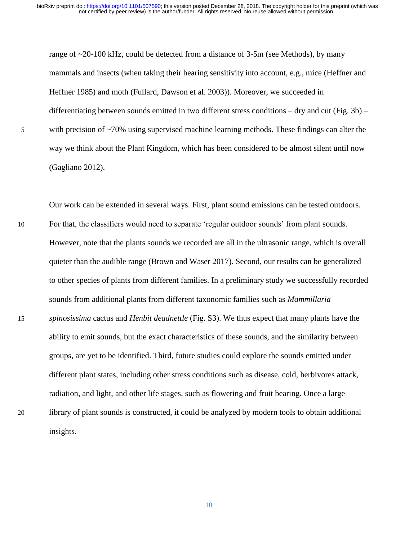range of  $\sim$ 20-100 kHz, could be detected from a distance of 3-5m (see Methods), by many mammals and insects (when taking their hearing sensitivity into account, e.g., mice [\(Heffner and](#page-17-16)  [Heffner 1985\)](#page-17-16) and moth [\(Fullard, Dawson et al. 2003\)](#page-17-10)). Moreover, we succeeded in differentiating between sounds emitted in two different stress conditions – dry and cut (Fig. 3b) – 5 with precision of ~70% using supervised machine learning methods. These findings can alter the way we think about the Plant Kingdom, which has been considered to be almost silent until now [\(Gagliano 2012\)](#page-17-9).

Our work can be extended in several ways. First, plant sound emissions can be tested outdoors. 10 For that, the classifiers would need to separate 'regular outdoor sounds' from plant sounds. However, note that the plants sounds we recorded are all in the ultrasonic range, which is overall quieter than the audible range [\(Brown and Waser 2017\)](#page-17-17). Second, our results can be generalized to other species of plants from different families. In a preliminary study we successfully recorded sounds from additional plants from different taxonomic families such as *Mammillaria*  15 *spinosissima* cactus and *Henbit deadnettle* (Fig. S3). We thus expect that many plants have the ability to emit sounds, but the exact characteristics of these sounds, and the similarity between groups, are yet to be identified. Third, future studies could explore the sounds emitted under different plant states, including other stress conditions such as disease, cold, herbivores attack, radiation, and light, and other life stages, such as flowering and fruit bearing. Once a large 20 library of plant sounds is constructed, it could be analyzed by modern tools to obtain additional insights.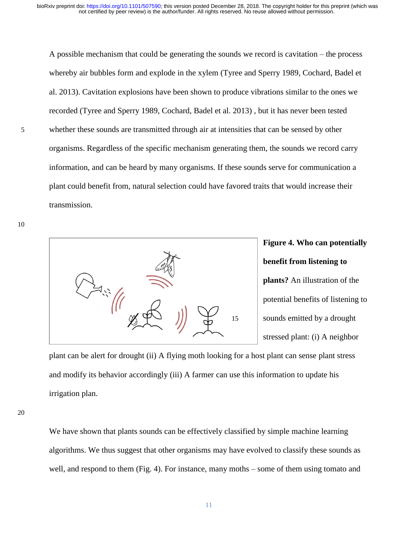A possible mechanism that could be generating the sounds we record is cavitation – the process whereby air bubbles form and explode in the xylem [\(Tyree and Sperry 1989,](#page-19-1) [Cochard, Badel et](#page-17-6)  [al. 2013\)](#page-17-6). Cavitation explosions have been shown to produce vibrations similar to the ones we recorded [\(Tyree and Sperry 1989,](#page-19-1) [Cochard, Badel et al. 2013\)](#page-17-6) , but it has never been tested 5 whether these sounds are transmitted through air at intensities that can be sensed by other organisms. Regardless of the specific mechanism generating them, the sounds we record carry information, and can be heard by many organisms. If these sounds serve for communication a plant could benefit from, natural selection could have favored traits that would increase their transmission.

10



# **Figure 4. Who can potentially benefit from listening to**

**plants?** An illustration of the potential benefits of listening to 15 sounds emitted by a drought stressed plant: (i) A neighbor

plant can be alert for drought (ii) A flying moth looking for a host plant can sense plant stress and modify its behavior accordingly (iii) A farmer can use this information to update his irrigation plan.

20

We have shown that plants sounds can be effectively classified by simple machine learning algorithms. We thus suggest that other organisms may have evolved to classify these sounds as well, and respond to them (Fig. 4). For instance, many moths – some of them using tomato and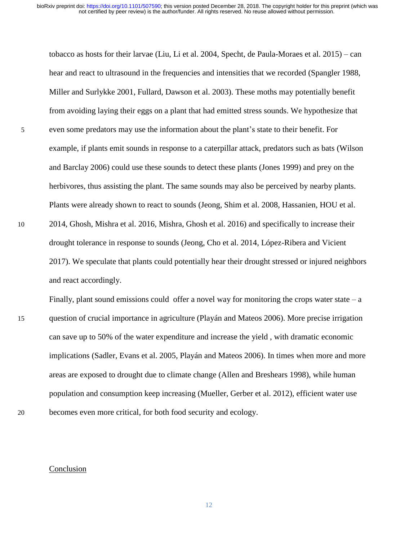tobacco as hosts for their larvae [\(Liu, Li et al. 2004,](#page-18-13) [Specht, de Paula-Moraes et al. 2015\)](#page-19-4) – can hear and react to ultrasound in the frequencies and intensities that we recorded [\(Spangler 1988,](#page-19-3) [Miller and Surlykke 2001,](#page-18-7) [Fullard, Dawson et al. 2003\)](#page-17-10). These moths may potentially benefit from avoiding laying their eggs on a plant that had emitted stress sounds. We hypothesize that 5 even some predators may use the information about the plant's state to their benefit. For example, if plants emit sounds in response to a caterpillar attack, predators such as bats [\(Wilson](#page-19-5)  [and Barclay 2006\)](#page-19-5) could use these sounds to detect these plants [\(Jones 1999\)](#page-18-14) and prey on the herbivores, thus assisting the plant. The same sounds may also be perceived by nearby plants. Plants were already shown to react to sounds [\(Jeong, Shim et al. 2008,](#page-18-8) [Hassanien, HOU et al.](#page-17-5)  10 [2014,](#page-17-5) [Ghosh, Mishra et al. 2016,](#page-17-11) [Mishra, Ghosh et al. 2016\)](#page-18-9) and specifically to increase their drought tolerance in response to sounds [\(Jeong, Cho et al. 2014,](#page-18-11) [López-Ribera and Vicient](#page-18-12)  [2017\)](#page-18-12). We speculate that plants could potentially hear their drought stressed or injured neighbors and react accordingly.

Finally, plant sound emissions could offer a novel way for monitoring the crops water state – a 15 question of crucial importance in agriculture [\(Playán and Mateos 2006\)](#page-18-15). More precise irrigation can save up to 50% of the water expenditure and increase the yield , with dramatic economic implications [\(Sadler, Evans et al. 2005,](#page-18-16) [Playán and Mateos 2006\)](#page-18-15). In times when more and more areas are exposed to drought due to climate change [\(Allen and Breshears 1998\)](#page-17-18), while human population and consumption keep increasing [\(Mueller, Gerber et al. 2012\)](#page-18-17), efficient water use 20 becomes even more critical, for both food security and ecology.

# Conclusion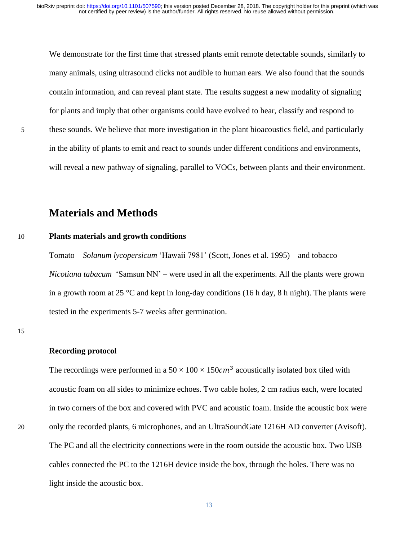We demonstrate for the first time that stressed plants emit remote detectable sounds, similarly to many animals, using ultrasound clicks not audible to human ears. We also found that the sounds contain information, and can reveal plant state. The results suggest a new modality of signaling for plants and imply that other organisms could have evolved to hear, classify and respond to 5 these sounds. We believe that more investigation in the plant bioacoustics field, and particularly in the ability of plants to emit and react to sounds under different conditions and environments, will reveal a new pathway of signaling, parallel to VOCs, between plants and their environment.

## **Materials and Methods**

#### 10 **Plants materials and growth conditions**

Tomato – *Solanum lycopersicum* 'Hawaii 7981' [\(Scott, Jones et al. 1995\)](#page-19-6) – and tobacco – *Nicotiana tabacum* 'Samsun NN' – were used in all the experiments. All the plants were grown in a growth room at 25  $\degree$ C and kept in long-day conditions (16 h day, 8 h night). The plants were tested in the experiments 5-7 weeks after germination.

#### **Recording protocol**

The recordings were performed in a  $50 \times 100 \times 150$  acoustically isolated box tiled with acoustic foam on all sides to minimize echoes. Two cable holes, 2 cm radius each, were located in two corners of the box and covered with PVC and acoustic foam. Inside the acoustic box were 20 only the recorded plants, 6 microphones, and an UltraSoundGate 1216H AD converter (Avisoft). The PC and all the electricity connections were in the room outside the acoustic box. Two USB cables connected the PC to the 1216H device inside the box, through the holes. There was no light inside the acoustic box.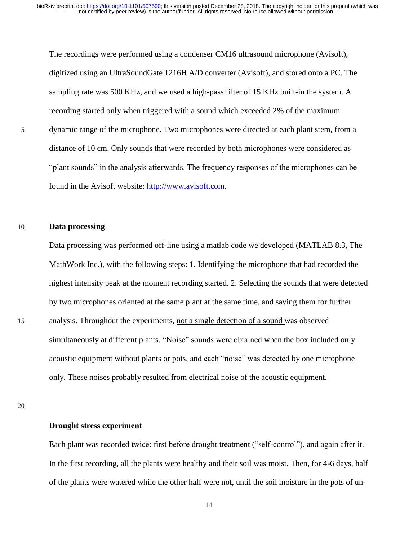The recordings were performed using a condenser CM16 ultrasound microphone (Avisoft), digitized using an UltraSoundGate 1216H A/D converter (Avisoft), and stored onto a PC. The sampling rate was 500 KHz, and we used a high-pass filter of 15 KHz built-in the system. A recording started only when triggered with a sound which exceeded 2% of the maximum 5 dynamic range of the microphone. Two microphones were directed at each plant stem, from a distance of 10 cm. Only sounds that were recorded by both microphones were considered as "plant sounds" in the analysis afterwards. The frequency responses of the microphones can be found in the Avisoft website: [http://www.avisoft.com.](http://www.avisoft.com/)

#### 10 **Data processing**

Data processing was performed off-line using a matlab code we developed (MATLAB 8.3, The MathWork Inc.), with the following steps: 1. Identifying the microphone that had recorded the highest intensity peak at the moment recording started. 2. Selecting the sounds that were detected by two microphones oriented at the same plant at the same time, and saving them for further 15 analysis. Throughout the experiments, not a single detection of a sound was observed simultaneously at different plants. "Noise" sounds were obtained when the box included only acoustic equipment without plants or pots, and each "noise" was detected by one microphone only. These noises probably resulted from electrical noise of the acoustic equipment.

### 20

#### **Drought stress experiment**

Each plant was recorded twice: first before drought treatment ("self-control"), and again after it. In the first recording, all the plants were healthy and their soil was moist. Then, for 4-6 days, half of the plants were watered while the other half were not, until the soil moisture in the pots of un-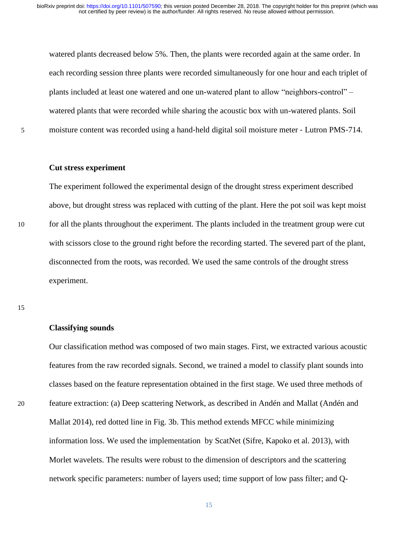watered plants decreased below 5%. Then, the plants were recorded again at the same order. In each recording session three plants were recorded simultaneously for one hour and each triplet of plants included at least one watered and one un-watered plant to allow "neighbors-control" – watered plants that were recorded while sharing the acoustic box with un-watered plants. Soil 5 moisture content was recorded using a hand‐held digital soil moisture meter ‐ Lutron PMS‐714.

#### **Cut stress experiment**

The experiment followed the experimental design of the drought stress experiment described above, but drought stress was replaced with cutting of the plant. Here the pot soil was kept moist 10 for all the plants throughout the experiment. The plants included in the treatment group were cut with scissors close to the ground right before the recording started. The severed part of the plant, disconnected from the roots, was recorded. We used the same controls of the drought stress experiment.

15

#### **Classifying sounds**

Our classification method was composed of two main stages. First, we extracted various acoustic features from the raw recorded signals. Second, we trained a model to classify plant sounds into classes based on the feature representation obtained in the first stage. We used three methods of 20 feature extraction: (a) Deep scattering Network, as described in Andén and Mallat [\(Andén and](#page-17-19)  [Mallat 2014\)](#page-17-19), red dotted line in Fig. 3b. This method extends MFCC while minimizing information loss. We used the implementation by ScatNet [\(Sifre, Kapoko et al. 2013\)](#page-19-7), with Morlet wavelets. The results were robust to the dimension of descriptors and the scattering network specific parameters: number of layers used; time support of low pass filter; and Q-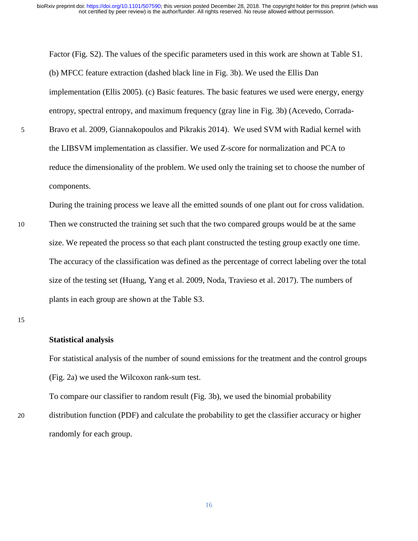Factor (Fig. S2). The values of the specific parameters used in this work are shown at Table S1. (b) MFCC feature extraction (dashed black line in Fig. 3b). We used the Ellis Dan implementation [\(Ellis 2005\)](#page-17-13). (c) Basic features. The basic features we used were energy, energy entropy, spectral entropy, and maximum frequency (gray line in Fig. 3b) [\(Acevedo, Corrada-](#page-17-14)5 [Bravo et al. 2009,](#page-17-14) [Giannakopoulos and Pikrakis 2014\)](#page-17-15). We used SVM with Radial kernel with the LIBSVM implementation as classifier. We used Z-score for normalization and PCA to reduce the dimensionality of the problem. We used only the training set to choose the number of components.

During the training process we leave all the emitted sounds of one plant out for cross validation.

10 Then we constructed the training set such that the two compared groups would be at the same size. We repeated the process so that each plant constructed the testing group exactly one time. The accuracy of the classification was defined as the percentage of correct labeling over the total size of the testing set [\(Huang, Yang et al. 2009,](#page-18-18) [Noda, Travieso et al. 2017\)](#page-18-19). The numbers of plants in each group are shown at the Table S3.

#### **Statistical analysis**

For statistical analysis of the number of sound emissions for the treatment and the control groups (Fig. 2a) we used the Wilcoxon rank-sum test.

To compare our classifier to random result (Fig. 3b), we used the binomial probability

20 distribution function (PDF) and calculate the probability to get the classifier accuracy or higher randomly for each group.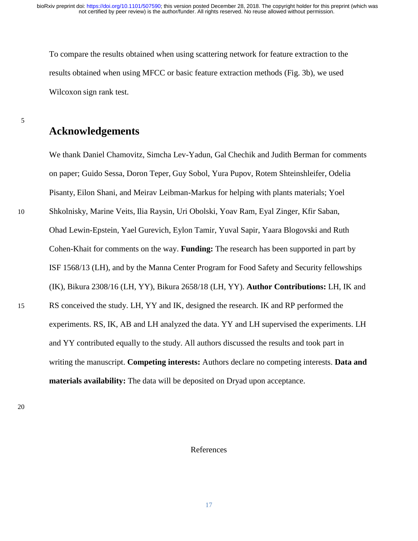To compare the results obtained when using scattering network for feature extraction to the results obtained when using MFCC or basic feature extraction methods (Fig. 3b), we used Wilcoxon sign rank test.

### **Acknowledgements**

We thank Daniel Chamovitz, Simcha Lev-Yadun, Gal Chechik and Judith Berman for comments on paper; Guido Sessa, Doron Teper, Guy Sobol, Yura Pupov, Rotem Shteinshleifer, Odelia Pisanty, Eilon Shani, and Meirav Leibman-Markus for helping with plants materials; Yoel 10 Shkolnisky, Marine Veits, Ilia Raysin, Uri Obolski, Yoav Ram, Eyal Zinger, Kfir Saban, Ohad Lewin-Epstein, Yael Gurevich, Eylon Tamir, Yuval Sapir, Yaara Blogovski and Ruth Cohen-Khait for comments on the way. **Funding:** The research has been supported in part by ISF 1568/13 (LH), and by the Manna Center Program for Food Safety and Security fellowships (IK), Bikura 2308/16 (LH, YY), Bikura 2658/18 (LH, YY). **Author Contributions:** LH, IK and 15 RS conceived the study. LH, YY and IK, designed the research. IK and RP performed the experiments. RS, IK, AB and LH analyzed the data. YY and LH supervised the experiments. LH and YY contributed equally to the study. All authors discussed the results and took part in writing the manuscript. **Competing interests:** Authors declare no competing interests. **Data and materials availability:** The data will be deposited on Dryad upon acceptance.

20

#### References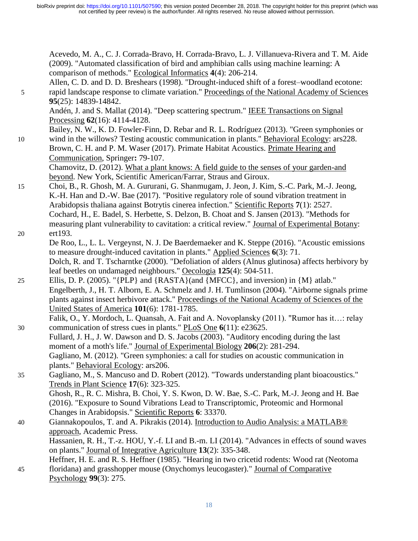<span id="page-17-14"></span>Acevedo, M. A., C. J. Corrada-Bravo, H. Corrada-Bravo, L. J. Villanueva-Rivera and T. M. Aide (2009). "Automated classification of bird and amphibian calls using machine learning: A comparison of methods." Ecological Informatics **4**(4): 206-214.

<span id="page-17-18"></span>Allen, C. D. and D. D. Breshears (1998). "Drought-induced shift of a forest–woodland ecotone: 5 rapid landscape response to climate variation." Proceedings of the National Academy of Sciences **95**(25): 14839-14842.

<span id="page-17-19"></span><span id="page-17-8"></span>Andén, J. and S. Mallat (2014). "Deep scattering spectrum." IEEE Transactions on Signal Processing **62**(16): 4114-4128.

Bailey, N. W., K. D. Fowler-Finn, D. Rebar and R. L. Rodríguez (2013). "Green symphonies or 10 wind in the willows? Testing acoustic communication in plants." Behavioral Ecology: ars228. Brown, C. H. and P. M. Waser (2017). Primate Habitat Acoustics. Primate Hearing and Communication, Springer**:** 79-107.

<span id="page-17-17"></span><span id="page-17-12"></span><span id="page-17-3"></span>Chamovitz, D. (2012). What a plant knows: A field guide to the senses of your garden-and beyond. New York, Scientific American/Farrar, Straus and Giroux.

- 15 Choi, B., R. Ghosh, M. A. Gururani, G. Shanmugam, J. Jeon, J. Kim, S.-C. Park, M.-J. Jeong, K.-H. Han and D.-W. Bae (2017). "Positive regulatory role of sound vibration treatment in Arabidopsis thaliana against Botrytis cinerea infection." Scientific Reports **7**(1): 2527. Cochard, H., E. Badel, S. Herbette, S. Delzon, B. Choat and S. Jansen (2013). "Methods for measuring plant vulnerability to cavitation: a critical review." Journal of Experimental Botany:
- <span id="page-17-7"></span><span id="page-17-6"></span>20 ert193. De Roo, L., L. L. Vergeynst, N. J. De Baerdemaeker and K. Steppe (2016). "Acoustic emissions to measure drought-induced cavitation in plants." Applied Sciences **6**(3): 71. Dolch, R. and T. Tscharntke (2000). "Defoliation of alders (Alnus glutinosa) affects herbivory by leaf beetles on undamaged neighbours." Oecologia **125**(4): 504-511.
- <span id="page-17-13"></span><span id="page-17-1"></span><span id="page-17-0"></span>25 Ellis, D. P. (2005). "{PLP} and {RASTA}(and {MFCC}, and inversion) in {M} atlab." Engelberth, J., H. T. Alborn, E. A. Schmelz and J. H. Tumlinson (2004). "Airborne signals prime plants against insect herbivore attack." Proceedings of the National Academy of Sciences of the United States of America **101**(6): 1781-1785.

<span id="page-17-2"></span>Falik, O., Y. Mordoch, L. Quansah, A. Fait and A. Novoplansky (2011). "Rumor has it…: relay 30 communication of stress cues in plants." PLoS One **6**(11): e23625.

- <span id="page-17-10"></span>Fullard, J. H., J. W. Dawson and D. S. Jacobs (2003). "Auditory encoding during the last moment of a moth's life." Journal of Experimental Biology **206**(2): 281-294. Gagliano, M. (2012). "Green symphonies: a call for studies on acoustic communication in plants." Behavioral Ecology: ars206.
- <span id="page-17-9"></span>35 Gagliano, M., S. Mancuso and D. Robert (2012). "Towards understanding plant bioacoustics." Trends in Plant Science **17**(6): 323-325.

<span id="page-17-11"></span><span id="page-17-4"></span>Ghosh, R., R. C. Mishra, B. Choi, Y. S. Kwon, D. W. Bae, S.-C. Park, M.-J. Jeong and H. Bae (2016). "Exposure to Sound Vibrations Lead to Transcriptomic, Proteomic and Hormonal Changes in Arabidopsis." Scientific Reports **6**: 33370.

40 Giannakopoulos, T. and A. Pikrakis (2014). Introduction to Audio Analysis: a MATLAB® approach, Academic Press.

<span id="page-17-16"></span><span id="page-17-15"></span><span id="page-17-5"></span>Hassanien, R. H., T.-z. HOU, Y.-f. LI and B.-m. LI (2014). "Advances in effects of sound waves on plants." Journal of Integrative Agriculture **13**(2): 335-348.

Heffner, H. E. and R. S. Heffner (1985). "Hearing in two cricetid rodents: Wood rat (Neotoma

45 floridana) and grasshopper mouse (Onychomys leucogaster)." Journal of Comparative Psychology **99**(3): 275.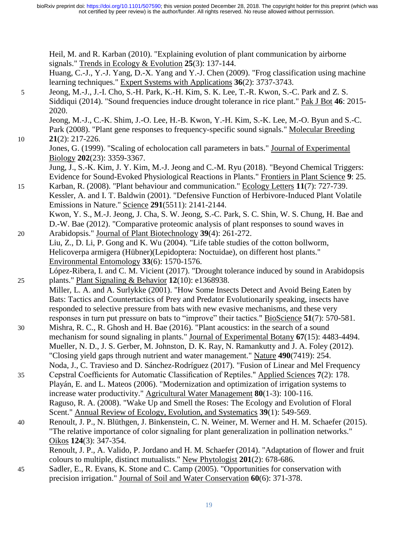not certified by peer review) is the author/funder. All rights reserved. No reuse allowed without permission. bioRxiv preprint doi: [https://doi.org/10.1101/507590;](https://doi.org/10.1101/507590) this version posted December 28, 2018. The copyright holder for this preprint (which was

<span id="page-18-19"></span><span id="page-18-18"></span><span id="page-18-17"></span><span id="page-18-16"></span><span id="page-18-15"></span><span id="page-18-14"></span><span id="page-18-13"></span><span id="page-18-12"></span><span id="page-18-11"></span><span id="page-18-10"></span><span id="page-18-9"></span><span id="page-18-8"></span><span id="page-18-7"></span><span id="page-18-6"></span><span id="page-18-5"></span><span id="page-18-4"></span><span id="page-18-3"></span><span id="page-18-2"></span><span id="page-18-1"></span><span id="page-18-0"></span>Heil, M. and R. Karban (2010). "Explaining evolution of plant communication by airborne signals." Trends in Ecology & Evolution **25**(3): 137-144. Huang, C.-J., Y.-J. Yang, D.-X. Yang and Y.-J. Chen (2009). "Frog classification using machine learning techniques." Expert Systems with Applications **36**(2): 3737-3743. 5 Jeong, M.-J., J.-I. Cho, S.-H. Park, K.-H. Kim, S. K. Lee, T.-R. Kwon, S.-C. Park and Z. S. Siddiqui (2014). "Sound frequencies induce drought tolerance in rice plant." Pak J Bot **46**: 2015- 2020. Jeong, M.-J., C.-K. Shim, J.-O. Lee, H.-B. Kwon, Y.-H. Kim, S.-K. Lee, M.-O. Byun and S.-C. Park (2008). "Plant gene responses to frequency-specific sound signals." Molecular Breeding 10 **21**(2): 217-226. Jones, G. (1999). "Scaling of echolocation call parameters in bats." Journal of Experimental Biology **202**(23): 3359-3367. Jung, J., S.-K. Kim, J. Y. Kim, M.-J. Jeong and C.-M. Ryu (2018). "Beyond Chemical Triggers: Evidence for Sound-Evoked Physiological Reactions in Plants." Frontiers in Plant Science **9**: 25. 15 Karban, R. (2008). "Plant behaviour and communication." Ecology Letters **11**(7): 727-739. Kessler, A. and I. T. Baldwin (2001). "Defensive Function of Herbivore-Induced Plant Volatile Emissions in Nature." Science **291**(5511): 2141-2144. Kwon, Y. S., M.-J. Jeong, J. Cha, S. W. Jeong, S.-C. Park, S. C. Shin, W. S. Chung, H. Bae and D.-W. Bae (2012). "Comparative proteomic analysis of plant responses to sound waves in 20 Arabidopsis." Journal of Plant Biotechnology **39**(4): 261-272. Liu, Z., D. Li, P. Gong and K. Wu (2004). "Life table studies of the cotton bollworm, Helicoverpa armigera (Hübner)(Lepidoptera: Noctuidae), on different host plants." Environmental Entomology **33**(6): 1570-1576. López-Ribera, I. and C. M. Vicient (2017). "Drought tolerance induced by sound in Arabidopsis 25 plants." Plant Signaling & Behavior **12**(10): e1368938. Miller, L. A. and A. Surlykke (2001). "How Some Insects Detect and Avoid Being Eaten by Bats: Tactics and Countertactics of Prey and Predator Evolutionarily speaking, insects have responded to selective pressure from bats with new evasive mechanisms, and these very responses in turn put pressure on bats to "improve" their tactics." BioScience **51**(7): 570-581. 30 Mishra, R. C., R. Ghosh and H. Bae (2016). "Plant acoustics: in the search of a sound mechanism for sound signaling in plants." Journal of Experimental Botany **67**(15): 4483-4494. Mueller, N. D., J. S. Gerber, M. Johnston, D. K. Ray, N. Ramankutty and J. A. Foley (2012). "Closing yield gaps through nutrient and water management." Nature **490**(7419): 254. Noda, J., C. Travieso and D. Sánchez-Rodríguez (2017). "Fusion of Linear and Mel Frequency 35 Cepstral Coefficients for Automatic Classification of Reptiles." Applied Sciences **7**(2): 178. Playán, E. and L. Mateos (2006). "Modernization and optimization of irrigation systems to increase water productivity." Agricultural Water Management **80**(1-3): 100-116. Raguso, R. A. (2008). "Wake Up and Smell the Roses: The Ecology and Evolution of Floral Scent." Annual Review of Ecology, Evolution, and Systematics **39**(1): 549-569. 40 Renoult, J. P., N. Blüthgen, J. Binkenstein, C. N. Weiner, M. Werner and H. M. Schaefer (2015). "The relative importance of color signaling for plant generalization in pollination networks." Oikos **124**(3): 347-354. Renoult, J. P., A. Valido, P. Jordano and H. M. Schaefer (2014). "Adaptation of flower and fruit colours to multiple, distinct mutualists." New Phytologist **201**(2): 678-686. 45 Sadler, E., R. Evans, K. Stone and C. Camp (2005). "Opportunities for conservation with precision irrigation." Journal of Soil and Water Conservation **60**(6): 371-378.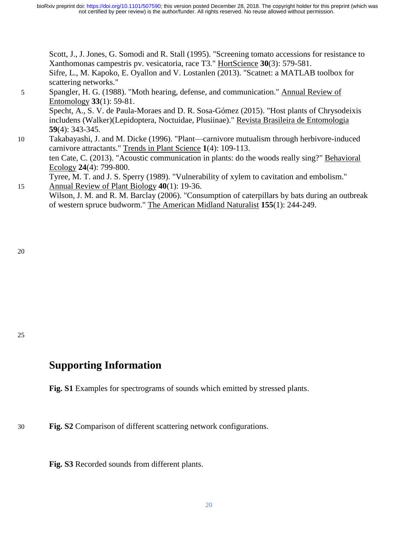<span id="page-19-7"></span><span id="page-19-6"></span>Scott, J., J. Jones, G. Somodi and R. Stall (1995). "Screening tomato accessions for resistance to Xanthomonas campestris pv. vesicatoria, race T3." HortScience **30**(3): 579-581. Sifre, L., M. Kapoko, E. Oyallon and V. Lostanlen (2013). "Scatnet: a MATLAB toolbox for scattering networks."

- <span id="page-19-4"></span><span id="page-19-3"></span>5 Spangler, H. G. (1988). "Moth hearing, defense, and communication." Annual Review of Entomology **33**(1): 59-81. Specht, A., S. V. de Paula-Moraes and D. R. Sosa-Gómez (2015). "Host plants of Chrysodeixis includens (Walker)(Lepidoptera, Noctuidae, Plusiinae)." Revista Brasileira de Entomologia **59**(4): 343-345. 10 Takabayashi, J. and M. Dicke (1996). "Plant—carnivore mutualism through herbivore-induced carnivore attractants." Trends in Plant Science **1**(4): 109-113. ten Cate, C. (2013). "Acoustic communication in plants: do the woods really sing?" Behavioral Ecology **24**(4): 799-800.
- <span id="page-19-5"></span><span id="page-19-2"></span><span id="page-19-1"></span><span id="page-19-0"></span>Tyree, M. T. and J. S. Sperry (1989). "Vulnerability of xylem to cavitation and embolism." 15 Annual Review of Plant Biology **40**(1): 19-36.
	- Wilson, J. M. and R. M. Barclay (2006). "Consumption of caterpillars by bats during an outbreak of western spruce budworm." The American Midland Naturalist **155**(1): 244-249.

20

25

## **Supporting Information**

**Fig. S1** Examples for spectrograms of sounds which emitted by stressed plants.

30 **Fig. S2** Comparison of different scattering network configurations.

**Fig. S3** Recorded sounds from different plants.